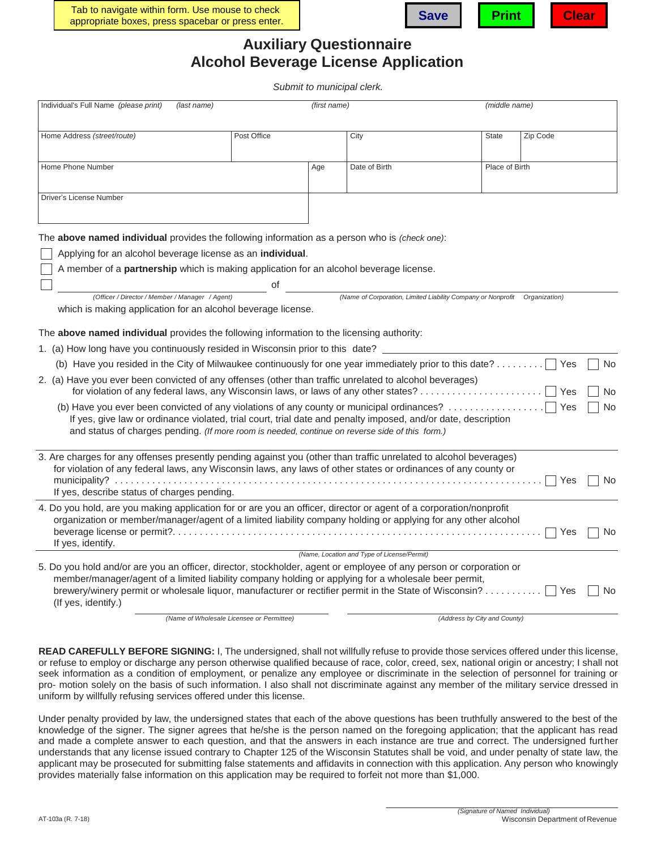



## **Auxiliary Questionnaire Alcohol Beverage License Application**

*Submit to municipal clerk.*

| Individual's Full Name (please print)<br>(last name)                                                                                                                                                                                                                                                                                                        |                                           | (first name) |                                                              | (middle name)                |               |    |
|-------------------------------------------------------------------------------------------------------------------------------------------------------------------------------------------------------------------------------------------------------------------------------------------------------------------------------------------------------------|-------------------------------------------|--------------|--------------------------------------------------------------|------------------------------|---------------|----|
| Home Address (street/route)                                                                                                                                                                                                                                                                                                                                 | Post Office                               |              | City                                                         | <b>State</b>                 | Zip Code      |    |
| Home Phone Number                                                                                                                                                                                                                                                                                                                                           |                                           | Age          | Date of Birth                                                | Place of Birth               |               |    |
| Driver's License Number                                                                                                                                                                                                                                                                                                                                     |                                           |              |                                                              |                              |               |    |
| The above named individual provides the following information as a person who is (check one):                                                                                                                                                                                                                                                               |                                           |              |                                                              |                              |               |    |
| Applying for an alcohol beverage license as an individual.                                                                                                                                                                                                                                                                                                  |                                           |              |                                                              |                              |               |    |
| A member of a partnership which is making application for an alcohol beverage license.                                                                                                                                                                                                                                                                      |                                           |              |                                                              |                              |               |    |
|                                                                                                                                                                                                                                                                                                                                                             | οf                                        |              |                                                              |                              |               |    |
| (Officer / Director / Member / Manager / Agent)<br>which is making application for an alcohol beverage license.                                                                                                                                                                                                                                             |                                           |              | (Name of Corporation, Limited Liability Company or Nonprofit |                              | Organization) |    |
| The above named individual provides the following information to the licensing authority:                                                                                                                                                                                                                                                                   |                                           |              |                                                              |                              |               |    |
| 1. (a) How long have you continuously resided in Wisconsin prior to this date?                                                                                                                                                                                                                                                                              |                                           |              |                                                              |                              |               |    |
| (b) Have you resided in the City of Milwaukee continuously for one year immediately prior to this date?                                                                                                                                                                                                                                                     |                                           |              |                                                              |                              | Yes           | No |
| 2. (a) Have you ever been convicted of any offenses (other than traffic unrelated to alcohol beverages)                                                                                                                                                                                                                                                     |                                           |              |                                                              |                              | Yes           | No |
| (b) Have you ever been convicted of any violations of any county or municipal ordinances?<br>If yes, give law or ordinance violated, trial court, trial date and penalty imposed, and/or date, description<br>and status of charges pending. (If more room is needed, continue on reverse side of this form.)                                               |                                           |              |                                                              |                              | Yes           | No |
| 3. Are charges for any offenses presently pending against you (other than traffic unrelated to alcohol beverages)                                                                                                                                                                                                                                           |                                           |              |                                                              |                              |               |    |
| for violation of any federal laws, any Wisconsin laws, any laws of other states or ordinances of any county or<br>If yes, describe status of charges pending.                                                                                                                                                                                               |                                           |              |                                                              |                              | Yes           | No |
| 4. Do you hold, are you making application for or are you an officer, director or agent of a corporation/nonprofit<br>organization or member/manager/agent of a limited liability company holding or applying for any other alcohol<br>If yes, identify.                                                                                                    |                                           |              |                                                              |                              | Yes           | No |
|                                                                                                                                                                                                                                                                                                                                                             |                                           |              | (Name, Location and Type of License/Permit)                  |                              |               |    |
| 5. Do you hold and/or are you an officer, director, stockholder, agent or employee of any person or corporation or<br>member/manager/agent of a limited liability company holding or applying for a wholesale beer permit,<br>brewery/winery permit or wholesale liquor, manufacturer or rectifier permit in the State of Wisconsin?<br>(If yes, identify.) |                                           |              |                                                              |                              | Yes           | No |
|                                                                                                                                                                                                                                                                                                                                                             | (Name of Wholesale Licensee or Permittee) |              |                                                              | (Address by City and County) |               |    |

**READ CAREFULLY BEFORE SIGNING:** I, The undersigned, shall not willfully refuse to provide those services offered under this license, or refuse to employ or discharge any person otherwise qualified because of race, color, creed, sex, national origin or ancestry; I shall not seek information as a condition of employment, or penalize any employee or discriminate in the selection of personnel for training or pro- motion solely on the basis of such information. I also shall not discriminate against any member of the military service dressed in uniform by willfully refusing services offered under this license.

Under penalty provided by law, the undersigned states that each of the above questions has been truthfully answered to the best of the knowledge of the signer. The signer agrees that he/she is the person named on the foregoing application; that the applicant has read and made a complete answer to each question, and that the answers in each instance are true and correct. The undersigned further understands that any license issued contrary to Chapter 125 of the Wisconsin Statutes shall be void, and under penalty of state law, the applicant may be prosecuted for submitting false statements and affidavits in connection with this application. Any person who knowingly provides materially false information on this application may be required to forfeit not more than \$1,000.